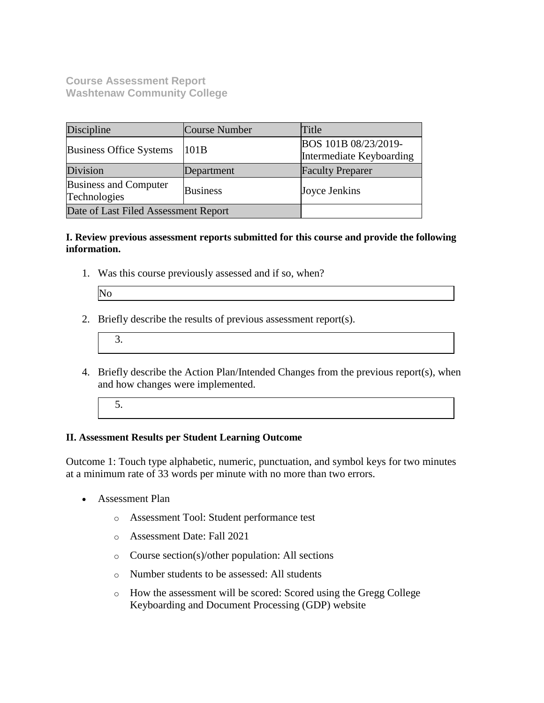**Course Assessment Report Washtenaw Community College**

| Discipline                            | <b>Course Number</b> | Title                                            |  |
|---------------------------------------|----------------------|--------------------------------------------------|--|
| <b>Business Office Systems</b>        | 101B                 | BOS 101B 08/23/2019-<br>Intermediate Keyboarding |  |
| Division                              | Department           | <b>Faculty Preparer</b>                          |  |
| Business and Computer<br>Technologies | <b>Business</b>      | Joyce Jenkins                                    |  |
| Date of Last Filed Assessment Report  |                      |                                                  |  |

#### **I. Review previous assessment reports submitted for this course and provide the following information.**

1. Was this course previously assessed and if so, when?

| הו |
|----|
|    |
|    |
|    |
|    |

- 2. Briefly describe the results of previous assessment report(s).
	- 3.
- 4. Briefly describe the Action Plan/Intended Changes from the previous report(s), when and how changes were implemented.
	- 5.

#### **II. Assessment Results per Student Learning Outcome**

Outcome 1: Touch type alphabetic, numeric, punctuation, and symbol keys for two minutes at a minimum rate of 33 words per minute with no more than two errors.

- Assessment Plan
	- o Assessment Tool: Student performance test
	- o Assessment Date: Fall 2021
	- o Course section(s)/other population: All sections
	- o Number students to be assessed: All students
	- o How the assessment will be scored: Scored using the Gregg College Keyboarding and Document Processing (GDP) website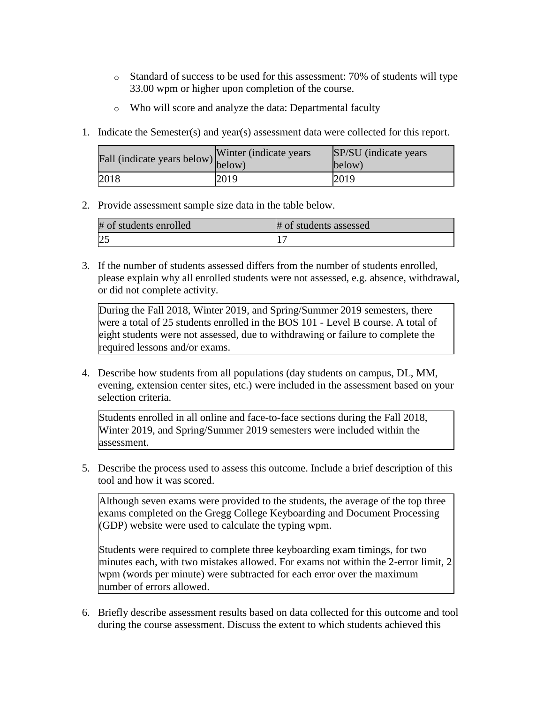- $\circ$  Standard of success to be used for this assessment: 70% of students will type 33.00 wpm or higher upon completion of the course.
- o Who will score and analyze the data: Departmental faculty
- 1. Indicate the Semester(s) and year(s) assessment data were collected for this report.

| riall (indicate years below) below) | Winter (indicate years) | SP/SU (indicate years)<br>below) |
|-------------------------------------|-------------------------|----------------------------------|
| 2018                                | 2019                    | 2019                             |

2. Provide assessment sample size data in the table below.

| # of students enrolled | # of students assessed |
|------------------------|------------------------|
| ندكه                   |                        |

3. If the number of students assessed differs from the number of students enrolled, please explain why all enrolled students were not assessed, e.g. absence, withdrawal, or did not complete activity.

During the Fall 2018, Winter 2019, and Spring/Summer 2019 semesters, there were a total of 25 students enrolled in the BOS 101 - Level B course. A total of eight students were not assessed, due to withdrawing or failure to complete the required lessons and/or exams.

4. Describe how students from all populations (day students on campus, DL, MM, evening, extension center sites, etc.) were included in the assessment based on your selection criteria.

Students enrolled in all online and face-to-face sections during the Fall 2018, Winter 2019, and Spring/Summer 2019 semesters were included within the assessment.

5. Describe the process used to assess this outcome. Include a brief description of this tool and how it was scored.

Although seven exams were provided to the students, the average of the top three exams completed on the Gregg College Keyboarding and Document Processing (GDP) website were used to calculate the typing wpm.

Students were required to complete three keyboarding exam timings, for two minutes each, with two mistakes allowed. For exams not within the 2-error limit, 2 wpm (words per minute) were subtracted for each error over the maximum number of errors allowed.

6. Briefly describe assessment results based on data collected for this outcome and tool during the course assessment. Discuss the extent to which students achieved this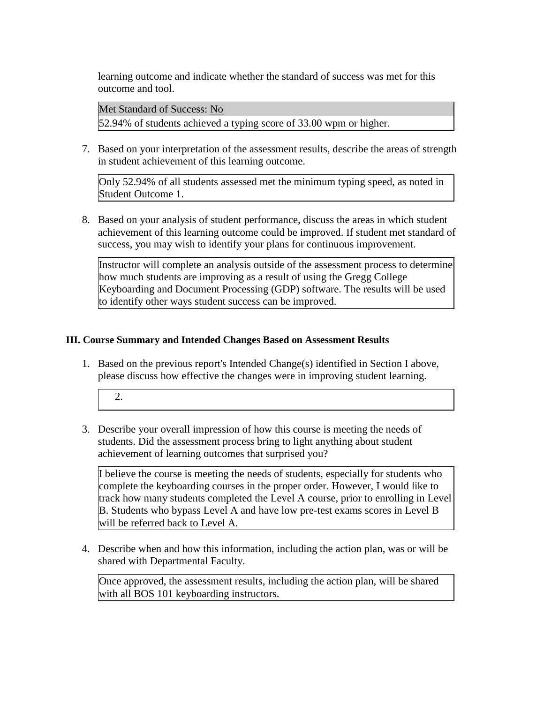learning outcome and indicate whether the standard of success was met for this outcome and tool.

Met Standard of Success: No 52.94% of students achieved a typing score of 33.00 wpm or higher.

7. Based on your interpretation of the assessment results, describe the areas of strength in student achievement of this learning outcome.

Only 52.94% of all students assessed met the minimum typing speed, as noted in Student Outcome 1.

8. Based on your analysis of student performance, discuss the areas in which student achievement of this learning outcome could be improved. If student met standard of success, you may wish to identify your plans for continuous improvement.

Instructor will complete an analysis outside of the assessment process to determine how much students are improving as a result of using the Gregg College Keyboarding and Document Processing (GDP) software. The results will be used to identify other ways student success can be improved.

#### **III. Course Summary and Intended Changes Based on Assessment Results**

- 1. Based on the previous report's Intended Change(s) identified in Section I above, please discuss how effective the changes were in improving student learning.
	- 2.
- 3. Describe your overall impression of how this course is meeting the needs of students. Did the assessment process bring to light anything about student achievement of learning outcomes that surprised you?

I believe the course is meeting the needs of students, especially for students who complete the keyboarding courses in the proper order. However, I would like to track how many students completed the Level A course, prior to enrolling in Level B. Students who bypass Level A and have low pre-test exams scores in Level B will be referred back to Level A.

4. Describe when and how this information, including the action plan, was or will be shared with Departmental Faculty.

Once approved, the assessment results, including the action plan, will be shared with all BOS 101 keyboarding instructors.